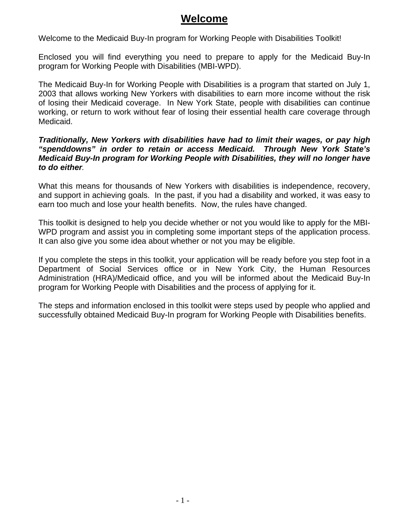## **Welcome**

Welcome to the Medicaid Buy-In program for Working People with Disabilities Toolkit!

Enclosed you will find everything you need to prepare to apply for the Medicaid Buy-In program for Working People with Disabilities (MBI-WPD).

The Medicaid Buy-In for Working People with Disabilities is a program that started on July 1, 2003 that allows working New Yorkers with disabilities to earn more income without the risk of losing their Medicaid coverage. In New York State, people with disabilities can continue working, or return to work without fear of losing their essential health care coverage through Medicaid.

#### *Traditionally, New Yorkers with disabilities have had to limit their wages, or pay high "spenddowns" in order to retain or access Medicaid. Through New York State's Medicaid Buy-In program for Working People with Disabilities, they will no longer have to do either.*

What this means for thousands of New Yorkers with disabilities is independence, recovery, and support in achieving goals. In the past, if you had a disability and worked, it was easy to earn too much and lose your health benefits. Now, the rules have changed.

This toolkit is designed to help you decide whether or not you would like to apply for the MBI-WPD program and assist you in completing some important steps of the application process. It can also give you some idea about whether or not you may be eligible.

If you complete the steps in this toolkit, your application will be ready before you step foot in a Department of Social Services office or in New York City, the Human Resources Administration (HRA)/Medicaid office, and you will be informed about the Medicaid Buy-In program for Working People with Disabilities and the process of applying for it.

The steps and information enclosed in this toolkit were steps used by people who applied and successfully obtained Medicaid Buy-In program for Working People with Disabilities benefits.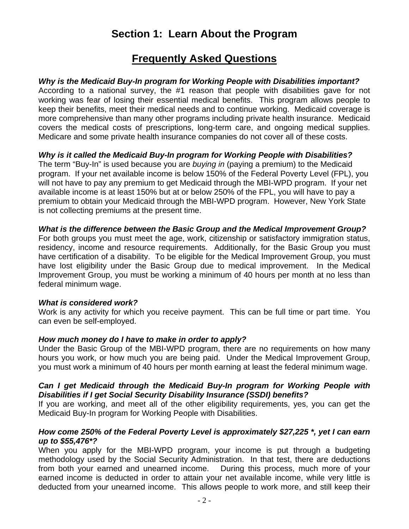# **Section 1: Learn About the Program**

## **Frequently Asked Questions**

#### *Why is the Medicaid Buy-In program for Working People with Disabilities important?*

According to a national survey, the #1 reason that people with disabilities gave for not working was fear of losing their essential medical benefits. This program allows people to keep their benefits, meet their medical needs and to continue working. Medicaid coverage is more comprehensive than many other programs including private health insurance. Medicaid covers the medical costs of prescriptions, long-term care, and ongoing medical supplies. Medicare and some private health insurance companies do not cover all of these costs.

#### *Why is it called the Medicaid Buy-In program for Working People with Disabilities?*

The term "Buy-In" is used because you are *buying in* (paying a premium) to the Medicaid program. If your net available income is below 150% of the Federal Poverty Level (FPL), you will not have to pay any premium to get Medicaid through the MBI-WPD program. If your net available income is at least 150% but at or below 250% of the FPL, you will have to pay a premium to obtain your Medicaid through the MBI-WPD program. However, New York State is not collecting premiums at the present time.

#### *What is the difference between the Basic Group and the Medical Improvement Group?*

For both groups you must meet the age, work, citizenship or satisfactory immigration status, residency, income and resource requirements. Additionally, for the Basic Group you must have certification of a disability. To be eligible for the Medical Improvement Group, you must have lost eligibility under the Basic Group due to medical improvement. In the Medical Improvement Group, you must be working a minimum of 40 hours per month at no less than federal minimum wage.

#### *What is considered work?*

Work is any activity for which you receive payment. This can be full time or part time. You can even be self-employed.

## *How much money do I have to make in order to apply?*

Under the Basic Group of the MBI-WPD program, there are no requirements on how many hours you work, or how much you are being paid. Under the Medical Improvement Group, you must work a minimum of 40 hours per month earning at least the federal minimum wage.

#### *Can I get Medicaid through the Medicaid Buy-In program for Working People with Disabilities if I get Social Security Disability Insurance (SSDI) benefits?*

If you are working, and meet all of the other eligibility requirements, yes, you can get the Medicaid Buy-In program for Working People with Disabilities.

#### *How come 250% of the Federal Poverty Level is approximately \$27,225 \*, yet I can earn up to \$55,476\*?*

When you apply for the MBI-WPD program, your income is put through a budgeting methodology used by the Social Security Administration. In that test, there are deductions from both your earned and unearned income. During this process, much more of your earned income is deducted in order to attain your net available income, while very little is deducted from your unearned income. This allows people to work more, and still keep their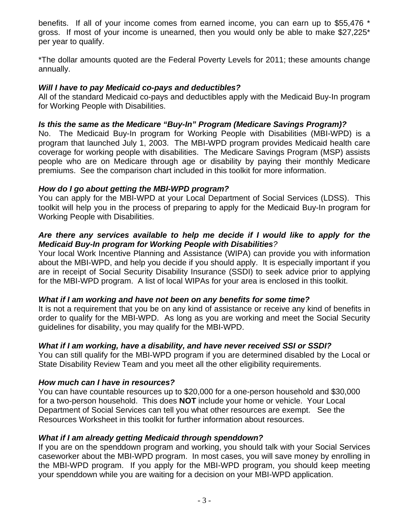benefits. If all of your income comes from earned income, you can earn up to \$55,476 \* gross. If most of your income is unearned, then you would only be able to make \$27,225\* per year to qualify.

\*The dollar amounts quoted are the Federal Poverty Levels for 2011; these amounts change annually.

#### *Will I have to pay Medicaid co-pays and deductibles?*

All of the standard Medicaid co-pays and deductibles apply with the Medicaid Buy-In program for Working People with Disabilities.

## *Is this the same as the Medicare "Buy-In" Program (Medicare Savings Program)?*

No. The Medicaid Buy-In program for Working People with Disabilities (MBI-WPD) is a program that launched July 1, 2003. The MBI-WPD program provides Medicaid health care coverage for working people with disabilities. The Medicare Savings Program (MSP) assists people who are on Medicare through age or disability by paying their monthly Medicare premiums. See the comparison chart included in this toolkit for more information.

## *How do I go about getting the MBI-WPD program?*

You can apply for the MBI-WPD at your Local Department of Social Services (LDSS). This toolkit will help you in the process of preparing to apply for the Medicaid Buy-In program for Working People with Disabilities.

#### *Are there any services available to help me decide if I would like to apply for the Medicaid Buy-In program for Working People with Disabilities?*

Your local Work Incentive Planning and Assistance (WIPA) can provide you with information about the MBI-WPD, and help you decide if you should apply. It is especially important if you are in receipt of Social Security Disability Insurance (SSDI) to seek advice prior to applying for the MBI-WPD program. A list of local WIPAs for your area is enclosed in this toolkit.

## *What if I am working and have not been on any benefits for some time?*

It is not a requirement that you be on any kind of assistance or receive any kind of benefits in order to qualify for the MBI-WPD. As long as you are working and meet the Social Security guidelines for disability, you may qualify for the MBI-WPD.

## *What if I am working, have a disability, and have never received SSI or SSDI?*

You can still qualify for the MBI-WPD program if you are determined disabled by the Local or State Disability Review Team and you meet all the other eligibility requirements.

## *How much can I have in resources?*

You can have countable resources up to \$20,000 for a one-person household and \$30,000 for a two-person household. This does **NOT** include your home or vehicle. Your Local Department of Social Services can tell you what other resources are exempt. See the Resources Worksheet in this toolkit for further information about resources.

## *What if I am already getting Medicaid through spenddown?*

If you are on the spenddown program and working, you should talk with your Social Services caseworker about the MBI-WPD program. In most cases, you will save money by enrolling in the MBI-WPD program. If you apply for the MBI-WPD program, you should keep meeting your spenddown while you are waiting for a decision on your MBI-WPD application.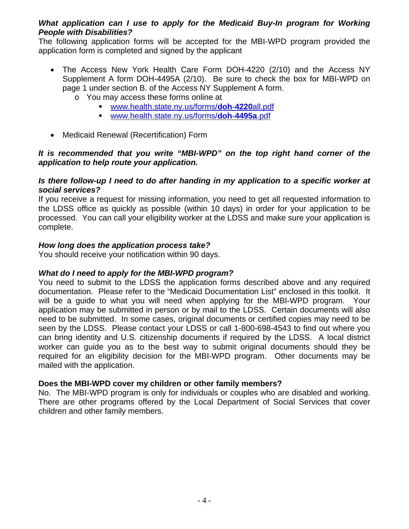#### *What application can I use to apply for the Medicaid Buy-In program for Working People with Disabilities?*

The following application forms will be accepted for the MBI-WPD program provided the application form is completed and signed by the applicant

- The Access New York Health Care Form DOH-4220 (2/10) and the Access NY Supplement A form DOH-4495A (2/10). Be sure to check the box for MBI-WPD on page 1 under section B. of the Access NY Supplement A form.
	- o You may access these forms online at
		- [www.health.state.ny.us/forms/](http://www.health.state.ny.us/forms/doh-4220all.pdf)**doh**-**4220**all.pdf
		- [www.health.state.ny.us/forms/](http://www.health.state.ny.us/forms/doh-4495a.pdf)**doh**-**4495a**.pdf
- Medicaid Renewal (Recertification) Form

#### *It is recommended that you write "MBI-WPD" on the top right hand corner of the application to help route your application.*

#### *Is there follow-up I need to do after handing in my application to a specific worker at social services?*

If you receive a request for missing information, you need to get all requested information to the LDSS office as quickly as possible (within 10 days) in order for your application to be processed. You can call your eligibility worker at the LDSS and make sure your application is complete.

## *How long does the application process take?*

You should receive your notification within 90 days.

## *What do I need to apply for the MBI-WPD program?*

You need to submit to the LDSS the application forms described above and any required documentation. Please refer to the "Medicaid Documentation List" enclosed in this toolkit. It will be a guide to what you will need when applying for the MBI-WPD program. Your application may be submitted in person or by mail to the LDSS. Certain documents will also need to be submitted. In some cases, original documents or certified copies may need to be seen by the LDSS. Please contact your LDSS or call 1-800-698-4543 to find out where you can bring identity and U.S. citizenship documents if required by the LDSS. A local district worker can guide you as to the best way to submit original documents should they be required for an eligibility decision for the MBI-WPD program. Other documents may be mailed with the application.

#### **Does the MBI-WPD cover my children or other family members?**

No. The MBI-WPD program is only for individuals or couples who are disabled and working. There are other programs offered by the Local Department of Social Services that cover children and other family members.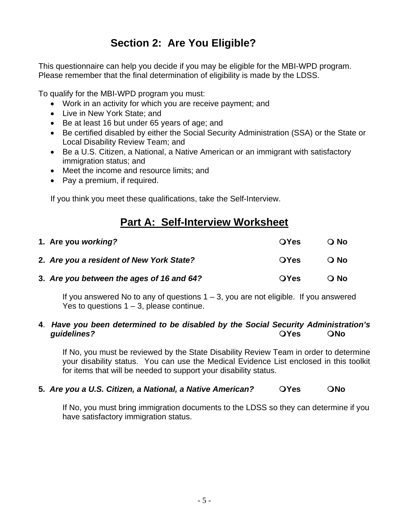# **Section 2: Are You Eligible?**

This questionnaire can help you decide if you may be eligible for the MBI-WPD program. Please remember that the final determination of eligibility is made by the LDSS.

To qualify for the MBI-WPD program you must:

- Work in an activity for which you are receive payment; and
- Live in New York State; and
- Be at least 16 but under 65 years of age; and
- Be certified disabled by either the Social Security Administration (SSA) or the State or Local Disability Review Team; and
- Be a U.S. Citizen, a National, a Native American or an immigrant with satisfactory immigration status; and
- Meet the income and resource limits: and
- Pay a premium, if required.

If you think you meet these qualifications, take the Self-Interview.

# **Part A: Self-Interview Worksheet**

| 1. Are you working?                       | <b>OYes</b> | O No              |
|-------------------------------------------|-------------|-------------------|
| 2. Are you a resident of New York State?  | <b>OYes</b> | $\overline{O}$ No |
| 3. Are you between the ages of 16 and 64? | <b>OYes</b> | O No              |

If you answered No to any of questions  $1 - 3$ , you are not eligible. If you answered Yes to questions  $1 - 3$ , please continue.

#### **4**. *Have you been determined to be disabled by the Social Security Administration's*  **guidelines? CONS ONS ONS**

If No, you must be reviewed by the State Disability Review Team in order to determine your disability status. You can use the Medical Evidence List enclosed in this toolkit for items that will be needed to support your disability status.

## **5.** Are you a U.S. Citizen, a National, a Native American? **QYes QNo**

If No, you must bring immigration documents to the LDSS so they can determine if you have satisfactory immigration status.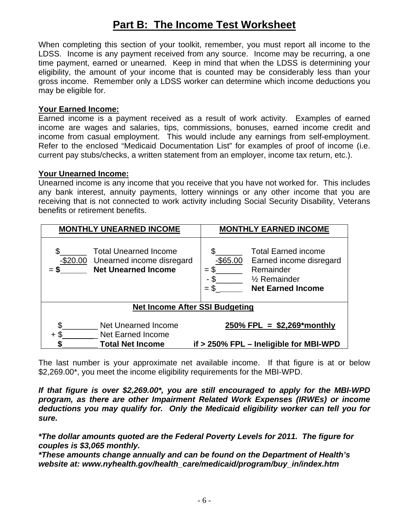# **Part B: The Income Test Worksheet**

When completing this section of your toolkit, remember, you must report all income to the LDSS. Income is any payment received from any source. Income may be recurring, a one time payment, earned or unearned. Keep in mind that when the LDSS is determining your eligibility, the amount of your income that is counted may be considerably less than your gross income. Remember only a LDSS worker can determine which income deductions you may be eligible for.

#### **Your Earned Income:**

Earned income is a payment received as a result of work activity. Examples of earned income are wages and salaries, tips, commissions, bonuses, earned income credit and income from casual employment. This would include any earnings from self-employment. Refer to the enclosed "Medicaid Documentation List" for examples of proof of income (i.e. current pay stubs/checks, a written statement from an employer, income tax return, etc.).

#### **Your Unearned Income:**

Unearned income is any income that you receive that you have not worked for. This includes any bank interest, annuity payments, lottery winnings or any other income that you are receiving that is not connected to work activity including Social Security Disability, Veterans benefits or retirement benefits.

| <b>MONTHLY UNEARNED INCOME</b>                                                                         | <b>MONTHLY EARNED INCOME</b>                                                                                                                                         |  |
|--------------------------------------------------------------------------------------------------------|----------------------------------------------------------------------------------------------------------------------------------------------------------------------|--|
| \$<br><b>Total Unearned Income</b><br>-\$20.00 Unearned income disregard<br><b>Net Unearned Income</b> | <b>Total Earned income</b><br>$-$ \$65.00<br>Earned income disregard<br>Remainder<br>$= \$$<br>- \$<br>$\frac{1}{2}$ Remainder<br>$=$ \$<br><b>Net Earned Income</b> |  |
| <b>Net Income After SSI Budgeting</b>                                                                  |                                                                                                                                                                      |  |
| \$<br>Net Unearned Income<br><b>Net Earned Income</b><br>S<br>÷                                        | $250\%$ FPL = \$2,269*monthly                                                                                                                                        |  |
| <b>Total Net Income</b>                                                                                | if > 250% FPL - Ineligible for MBI-WPD                                                                                                                               |  |

The last number is your approximate net available income. If that figure is at or below \$2,269.00\*, you meet the income eligibility requirements for the MBI-WPD.

*If that figure is over \$2,269.00\*, you are still encouraged to apply for the MBI-WPD program, as there are other Impairment Related Work Expenses (IRWEs) or income deductions you may qualify for. Only the Medicaid eligibility worker can tell you for sure.* 

*\*The dollar amounts quoted are the Federal Poverty Levels for 2011. The figure for couples is \$3,065 monthly.* 

*\*These amounts change annually and can be found on the Department of Health's website at: www.nyhealth.gov/health\_care/medicaid/program/buy\_in/index.htm*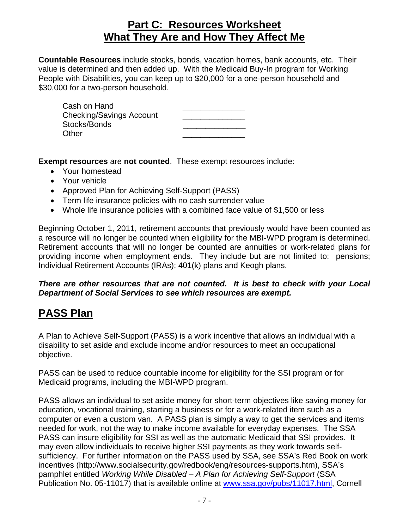## **Part C: Resources Worksheet What They Are and How They Affect Me**

**Countable Resources** include stocks, bonds, vacation homes, bank accounts, etc. Their value is determined and then added up. With the Medicaid Buy-In program for Working People with Disabilities, you can keep up to \$20,000 for a one-person household and \$30,000 for a two-person household.

| Cash on Hand                    |  |
|---------------------------------|--|
| <b>Checking/Savings Account</b> |  |
| Stocks/Bonds                    |  |
| Other                           |  |

**Exempt resources** are **not counted**. These exempt resources include:

- Your homestead
- Your vehicle
- Approved Plan for Achieving Self-Support (PASS)
- Term life insurance policies with no cash surrender value
- Whole life insurance policies with a combined face value of \$1,500 or less

Beginning October 1, 2011, retirement accounts that previously would have been counted as a resource will no longer be counted when eligibility for the MBI-WPD program is determined. Retirement accounts that will no longer be counted are annuities or work-related plans for providing income when employment ends. They include but are not limited to: pensions; Individual Retirement Accounts (IRAs); 401(k) plans and Keogh plans.

#### *There are other resources that are not counted. It is best to check with your Local Department of Social Services to see which resources are exempt.*

## **PASS Plan**

A Plan to Achieve Self-Support (PASS) is a work incentive that allows an individual with a disability to set aside and exclude income and/or resources to meet an occupational objective.

PASS can be used to reduce countable income for eligibility for the SSI program or for Medicaid programs, including the MBI-WPD program.

PASS allows an individual to set aside money for short-term objectives like saving money for education, vocational training, starting a business or for a work-related item such as a computer or even a custom van. A PASS plan is simply a way to get the services and items needed for work, not the way to make income available for everyday expenses. The SSA PASS can insure eligibility for SSI as well as the automatic Medicaid that SSI provides. It may even allow individuals to receive higher SSI payments as they work towards selfsufficiency. For further information on the PASS used by SSA, see SSA's Red Book on work incentives (http://www.socialsecurity.gov/redbook/eng/resources-supports.htm), SSA's pamphlet entitled *Working While Disabled – A Plan for Achieving Self-Support* (SSA Publication No. 05-11017) that is available online at [www.ssa.gov/pubs/11017.html](http://www.ssa.gov/pubs/11017.html), Cornell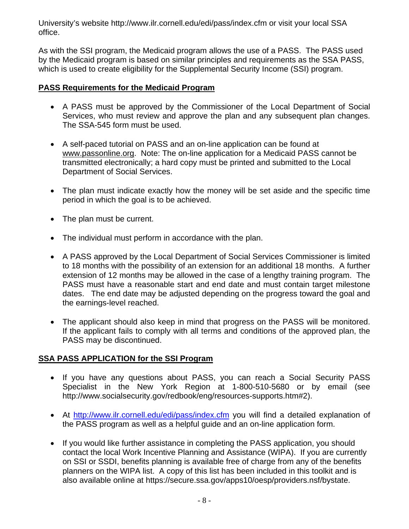University's website http://www.ilr.cornell.edu/edi/pass/index.cfm or visit your local SSA office.

As with the SSI program, the Medicaid program allows the use of a PASS. The PASS used by the Medicaid program is based on similar principles and requirements as the SSA PASS, which is used to create eligibility for the Supplemental Security Income (SSI) program.

## **PASS Requirements for the Medicaid Program**

- A PASS must be approved by the Commissioner of the Local Department of Social Services, who must review and approve the plan and any subsequent plan changes. The SSA-545 form must be used.
- A self-paced tutorial on PASS and an on-line application can be found at [www.passonline.org](http://www.passonline.org/). Note: The on-line application for a Medicaid PASS cannot be transmitted electronically; a hard copy must be printed and submitted to the Local Department of Social Services.
- The plan must indicate exactly how the money will be set aside and the specific time period in which the goal is to be achieved.
- The plan must be current.
- The individual must perform in accordance with the plan.
- A PASS approved by the Local Department of Social Services Commissioner is limited to 18 months with the possibility of an extension for an additional 18 months. A further extension of 12 months may be allowed in the case of a lengthy training program. The PASS must have a reasonable start and end date and must contain target milestone dates. The end date may be adjusted depending on the progress toward the goal and the earnings-level reached.
- The applicant should also keep in mind that progress on the PASS will be monitored. If the applicant fails to comply with all terms and conditions of the approved plan, the PASS may be discontinued.

## **SSA PASS APPLICATION for the SSI Program**

- If you have any questions about PASS, you can reach a Social Security PASS Specialist in the New York Region at 1-800-510-5680 or by email (see http://www.socialsecurity.gov/redbook/eng/resources-supports.htm#2).
- At <http://www.ilr.cornell.edu/edi/pass/index.cfm> you will find a detailed explanation of the PASS program as well as a helpful guide and an on-line application form.
- If you would like further assistance in completing the PASS application, you should contact the local Work Incentive Planning and Assistance (WIPA). If you are currently on SSI or SSDI, benefits planning is available free of charge from any of the benefits planners on the WIPA list. A copy of this list has been included in this toolkit and is also available online at https://secure.ssa.gov/apps10/oesp/providers.nsf/bystate.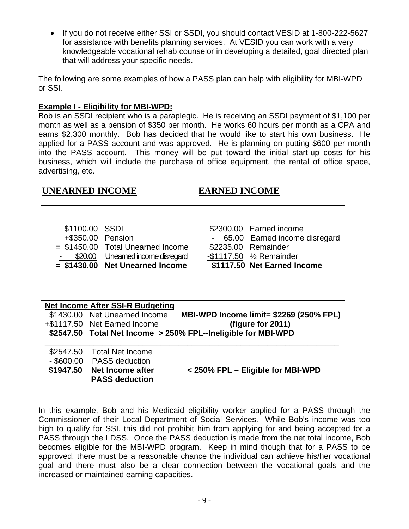• If you do not receive either SSI or SSDI, you should contact VESID at 1-800-222-5627 for assistance with benefits planning services. At VESID you can work with a very knowledgeable vocational rehab counselor in developing a detailed, goal directed plan that will address your specific needs.

The following are some examples of how a PASS plan can help with eligibility for MBI-WPD or SSI.

## **Example I - Eligibility for MBI-WPD:**

Bob is an SSDI recipient who is a paraplegic. He is receiving an SSDI payment of \$1,100 per month as well as a pension of \$350 per month. He works 60 hours per month as a CPA and earns \$2,300 monthly. Bob has decided that he would like to start his own business. He applied for a PASS account and was approved. He is planning on putting \$600 per month into the PASS account. This money will be put toward the initial start-up costs for his business, which will include the purchase of office equipment, the rental of office space, advertising, etc.

|           | <b>UNEARNED INCOME</b>                                                                                                                                                    | <b>EARNED INCOME</b>                                                                                                                                    |
|-----------|---------------------------------------------------------------------------------------------------------------------------------------------------------------------------|---------------------------------------------------------------------------------------------------------------------------------------------------------|
|           | \$1100.00 SSDI<br>+\$350.00 Pension<br>= \$1450.00 Total Unearned Income<br>\$20.00 Unearned income disregard<br>= \$1430.00 Net Unearned Income                          | \$2300.00 Earned income<br>65.00 Earned income disregard<br>\$2235.00 Remainder<br>$-$ \$1117.50 $\frac{1}{2}$ Remainder<br>\$1117.50 Net Earned Income |
|           | <b>Net Income After SSI-R Budgeting</b><br>\$1430.00 Net Unearned Income<br>+\$1117.50 Net Earned Income<br>\$2547.50 Total Net Income > 250% FPL--Ineligible for MBI-WPD | <b>MBI-WPD Income limit= \$2269 (250% FPL)</b><br>(figure for 2011)                                                                                     |
| \$2547.50 | Total Net Income<br>- \$600.00 PASS deduction<br>\$1947.50 Net Income after<br><b>PASS deduction</b>                                                                      | < 250% FPL - Eligible for MBI-WPD                                                                                                                       |

In this example, Bob and his Medicaid eligibility worker applied for a PASS through the Commissioner of their Local Department of Social Services. While Bob's income was too high to qualify for SSI, this did not prohibit him from applying for and being accepted for a PASS through the LDSS. Once the PASS deduction is made from the net total income, Bob becomes eligible for the MBI-WPD program. Keep in mind though that for a PASS to be approved, there must be a reasonable chance the individual can achieve his/her vocational goal and there must also be a clear connection between the vocational goals and the increased or maintained earning capacities.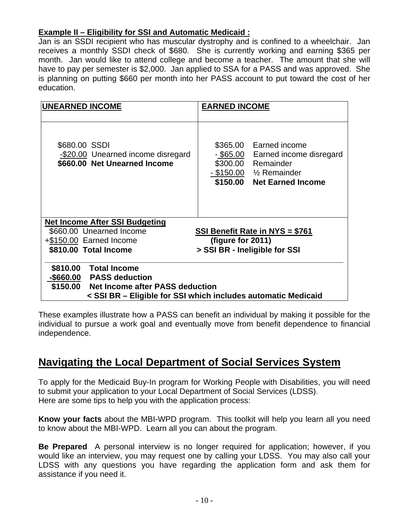## **Example II – Eligibility for SSI and Automatic Medicaid :**

Jan is an SSDI recipient who has muscular dystrophy and is confined to a wheelchair. Jan receives a monthly SSDI check of \$680. She is currently working and earning \$365 per month. Jan would like to attend college and become a teacher. The amount that she will have to pay per semester is \$2,000. Jan applied to SSA for a PASS and was approved. She is planning on putting \$660 per month into her PASS account to put toward the cost of her education.

| <b>UNEARNED INCOME</b>                                                              | <b>EARNED INCOME</b>                                                                                                                                              |
|-------------------------------------------------------------------------------------|-------------------------------------------------------------------------------------------------------------------------------------------------------------------|
| \$680.00 SSDI<br>-\$20.00 Unearned income disregard<br>\$660.00 Net Unearned Income | \$365.00 Earned income<br><u>- \$65.00</u><br>Earned income disregard<br>\$300.00 Remainder<br>$-$ \$150.00 $\frac{1}{2}$ Remainder<br>\$150.00 Net Earned Income |
| <b>Net Income After SSI Budgeting</b>                                               |                                                                                                                                                                   |
| \$660.00 Unearned Income                                                            | SSI Benefit Rate in NYS = \$761                                                                                                                                   |
| +\$150.00 Earned Income                                                             | (figure for 2011)                                                                                                                                                 |
| \$810.00 Total Income                                                               | > SSI BR - Ineligible for SSI                                                                                                                                     |
| \$810.00<br><b>Total Income</b>                                                     |                                                                                                                                                                   |
| -\$660.00 PASS deduction                                                            |                                                                                                                                                                   |
| \$150.00 Net Income after PASS deduction                                            |                                                                                                                                                                   |
|                                                                                     | < SSI BR – Eligible for SSI which includes automatic Medicaid                                                                                                     |

These examples illustrate how a PASS can benefit an individual by making it possible for the individual to pursue a work goal and eventually move from benefit dependence to financial independence.

## **Navigating the Local Department of Social Services System**

To apply for the Medicaid Buy-In program for Working People with Disabilities, you will need to submit your application to your Local Department of Social Services (LDSS). Here are some tips to help you with the application process:

**Know your facts** about the MBI-WPD program. This toolkit will help you learn all you need to know about the MBI-WPD. Learn all you can about the program.

**Be Prepared** A personal interview is no longer required for application; however, if you would like an interview, you may request one by calling your LDSS. You may also call your LDSS with any questions you have regarding the application form and ask them for assistance if you need it.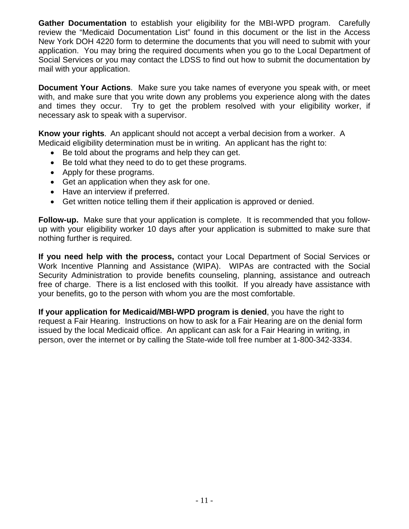**Gather Documentation** to establish your eligibility for the MBI-WPD program. Carefully review the "Medicaid Documentation List" found in this document or the list in the Access New York DOH 4220 form to determine the documents that you will need to submit with your application. You may bring the required documents when you go to the Local Department of Social Services or you may contact the LDSS to find out how to submit the documentation by mail with your application.

**Document Your Actions**. Make sure you take names of everyone you speak with, or meet with, and make sure that you write down any problems you experience along with the dates and times they occur. Try to get the problem resolved with your eligibility worker, if necessary ask to speak with a supervisor.

**Know your rights**. An applicant should not accept a verbal decision from a worker. A Medicaid eligibility determination must be in writing. An applicant has the right to:

- Be told about the programs and help they can get.
- Be told what they need to do to get these programs.
- Apply for these programs.
- Get an application when they ask for one.
- Have an interview if preferred.
- Get written notice telling them if their application is approved or denied.

**Follow-up.** Make sure that your application is complete. It is recommended that you followup with your eligibility worker 10 days after your application is submitted to make sure that nothing further is required.

**If you need help with the process,** contact your Local Department of Social Services or Work Incentive Planning and Assistance (WIPA). WIPAs are contracted with the Social Security Administration to provide benefits counseling, planning, assistance and outreach free of charge. There is a list enclosed with this toolkit. If you already have assistance with your benefits, go to the person with whom you are the most comfortable.

**If your application for Medicaid/MBI-WPD program is denied**, you have the right to request a Fair Hearing. Instructions on how to ask for a Fair Hearing are on the denial form issued by the local Medicaid office. An applicant can ask for a Fair Hearing in writing, in person, over the internet or by calling the State-wide toll free number at 1-800-342-3334.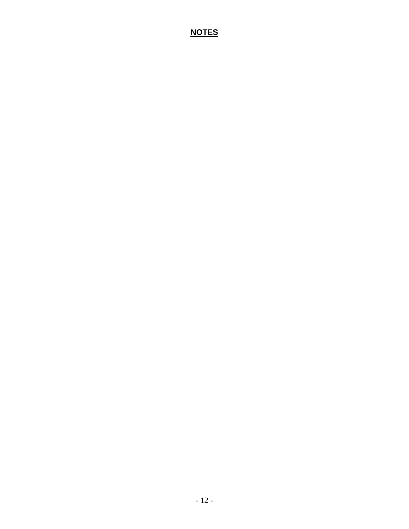## **NOTES**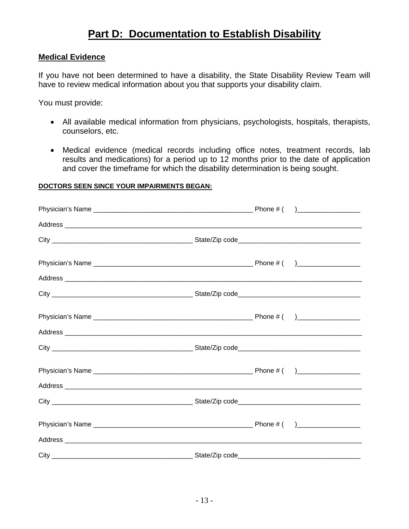# **Part D: Documentation to Establish Disability**

#### **Medical Evidence**

If you have not been determined to have a disability, the State Disability Review Team will have to review medical information about you that supports your disability claim.

You must provide:

- All available medical information from physicians, psychologists, hospitals, therapists, counselors, etc.
- Medical evidence (medical records including office notes, treatment records, lab results and medications) for a period up to 12 months prior to the date of application and cover the timeframe for which the disability determination is being sought.

#### **DOCTORS SEEN SINCE YOUR IMPAIRMENTS BEGAN:**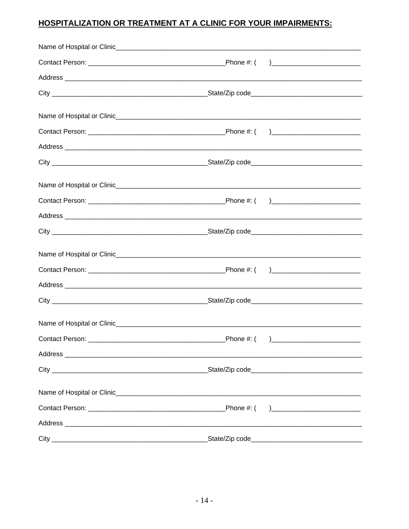## HOSPITALIZATION OR TREATMENT AT A CLINIC FOR YOUR IMPAIRMENTS:

| Contact Person: | Phone #: ( )______ |
|-----------------|--------------------|
|                 |                    |
|                 |                    |
|                 |                    |
|                 |                    |
|                 |                    |
|                 |                    |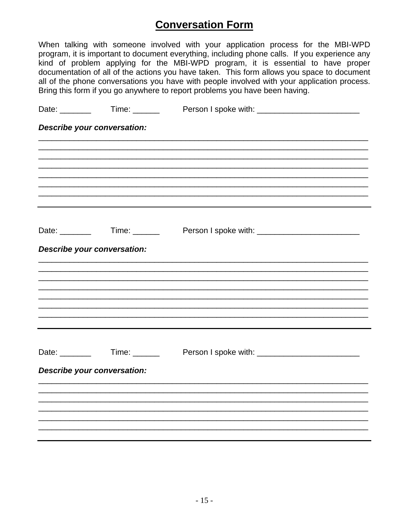# **Conversation Form**

When talking with someone involved with your application process for the MBI-WPD program, it is important to document everything, including phone calls. If you experience any kind of problem applying for the MBI-WPD program, it is essential to have proper documentation of all of the actions you have taken. This form allows you space to document all of the phone conversations you have with people involved with your application process. Bring this form if you go anywhere to report problems you have been having.

|                             | Date: __________  Time: _________  Person I spoke with: ________________________ |
|-----------------------------|----------------------------------------------------------------------------------|
| Describe your conversation: |                                                                                  |
|                             |                                                                                  |
|                             |                                                                                  |
|                             |                                                                                  |
|                             |                                                                                  |
|                             |                                                                                  |
|                             | Date: Time: Time: Person I spoke with: The Context of Spoke with:                |
| Describe your conversation: |                                                                                  |
|                             |                                                                                  |
|                             |                                                                                  |
|                             |                                                                                  |
|                             |                                                                                  |
|                             |                                                                                  |
|                             |                                                                                  |
|                             | Date: __________  Time: _________  Person I spoke with: ________________________ |
| Describe your conversation: |                                                                                  |
|                             |                                                                                  |
|                             |                                                                                  |
|                             |                                                                                  |
|                             |                                                                                  |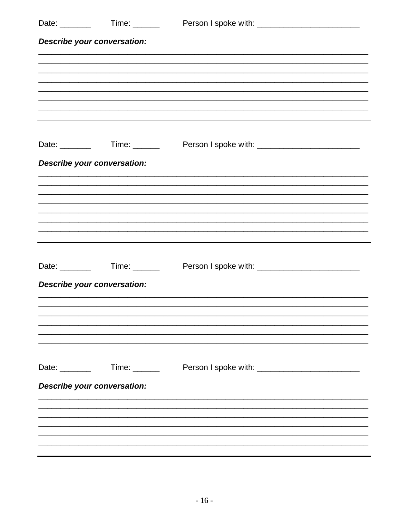|                             | Date: Time: Time: Person I spoke with: The Contract of Contract of Contract of Contract of Contract of Contract o |
|-----------------------------|-------------------------------------------------------------------------------------------------------------------|
| Describe your conversation: |                                                                                                                   |
|                             |                                                                                                                   |
|                             |                                                                                                                   |
|                             |                                                                                                                   |
|                             |                                                                                                                   |
|                             |                                                                                                                   |
|                             | Date: __________  Time: _________  Person I spoke with: ________________________                                  |
| Describe your conversation: |                                                                                                                   |
|                             |                                                                                                                   |
|                             |                                                                                                                   |
|                             |                                                                                                                   |
|                             |                                                                                                                   |
|                             | Date: Time: Time: Person I spoke with: The Context of Spoke with:                                                 |
| Describe your conversation: |                                                                                                                   |
|                             |                                                                                                                   |
|                             |                                                                                                                   |
|                             |                                                                                                                   |
|                             |                                                                                                                   |
| Date: _______               |                                                                                                                   |
| Describe your conversation: |                                                                                                                   |
|                             |                                                                                                                   |
|                             |                                                                                                                   |
|                             |                                                                                                                   |
|                             |                                                                                                                   |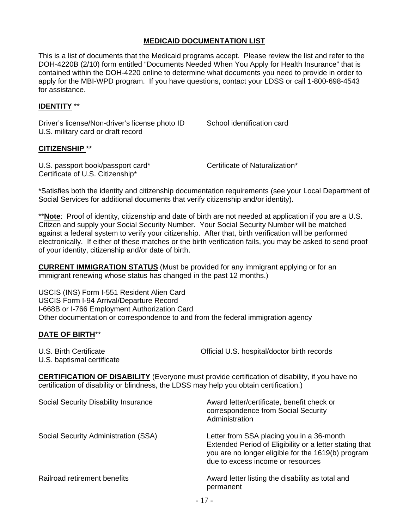#### **MEDICAID DOCUMENTATION LIST**

This is a list of documents that the Medicaid programs accept. Please review the list and refer to the DOH-4220B (2/10) form entitled "Documents Needed When You Apply for Health Insurance" that is contained within the DOH-4220 online to determine what documents you need to provide in order to apply for the MBI-WPD program. If you have questions, contact your LDSS or call 1-800-698-4543 for assistance.

#### **IDENTITY** \*\*

Driver's license/Non-driver's license photo ID School identification card U.S. military card or draft record

#### **CITIZENSHIP** \*\*

U.S. passport book/passport card\* Certificate of Naturalization\* Certificate of U.S. Citizenship\*

\*Satisfies both the identity and citizenship documentation requirements (see your Local Department of Social Services for additional documents that verify citizenship and/or identity).

\*\***Note**: Proof of identity, citizenship and date of birth are not needed at application if you are a U.S. Citizen and supply your Social Security Number. Your Social Security Number will be matched against a federal system to verify your citizenship. After that, birth verification will be performed electronically. If either of these matches or the birth verification fails, you may be asked to send proof of your identity, citizenship and/or date of birth.

**CURRENT IMMIGRATION STATUS** (Must be provided for any immigrant applying or for an immigrant renewing whose status has changed in the past 12 months.)

USCIS (INS) Form I-551 Resident Alien Card USCIS Form I-94 Arrival/Departure Record I-668B or I-766 Employment Authorization Card Other documentation or correspondence to and from the federal immigration agency

#### **DATE OF BIRTH**\*\*

U.S. Birth Certificate **Department Controllering Controllering Controllering Controllering Controllering Controllering Controllering Controllering Controllering Controllering Controllering Controllering Controllering Contr** 

U.S. baptismal certificate

**CERTIFICATION OF DISABILITY** (Everyone must provide certification of disability, if you have no certification of disability or blindness, the LDSS may help you obtain certification.)

| Social Security Disability Insurance | Award letter/certificate, benefit check or<br>correspondence from Social Security<br>Administration                                                                                             |
|--------------------------------------|-------------------------------------------------------------------------------------------------------------------------------------------------------------------------------------------------|
| Social Security Administration (SSA) | Letter from SSA placing you in a 36-month<br>Extended Period of Eligibility or a letter stating that<br>you are no longer eligible for the 1619(b) program<br>due to excess income or resources |
| Railroad retirement benefits         | Award letter listing the disability as total and<br>permanent                                                                                                                                   |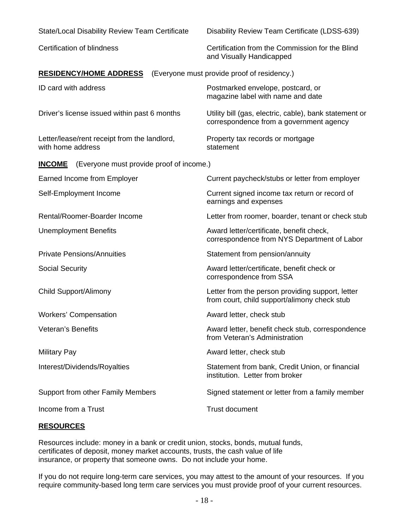| <b>State/Local Disability Review Team Certificate</b>             | Disability Review Team Certificate (LDSS-639)                                                     |
|-------------------------------------------------------------------|---------------------------------------------------------------------------------------------------|
| <b>Certification of blindness</b>                                 | Certification from the Commission for the Blind<br>and Visually Handicapped                       |
| <b>RESIDENCY/HOME ADDRESS</b>                                     | (Everyone must provide proof of residency.)                                                       |
| ID card with address                                              | Postmarked envelope, postcard, or<br>magazine label with name and date                            |
| Driver's license issued within past 6 months                      | Utility bill (gas, electric, cable), bank statement or<br>correspondence from a government agency |
| Letter/lease/rent receipt from the landlord,<br>with home address | Property tax records or mortgage<br>statement                                                     |
| (Everyone must provide proof of income.)<br><b>INCOME</b>         |                                                                                                   |
| Earned Income from Employer                                       | Current paycheck/stubs or letter from employer                                                    |
| Self-Employment Income                                            | Current signed income tax return or record of<br>earnings and expenses                            |
| Rental/Roomer-Boarder Income                                      | Letter from roomer, boarder, tenant or check stub                                                 |
| <b>Unemployment Benefits</b>                                      | Award letter/certificate, benefit check,<br>correspondence from NYS Department of Labor           |
| <b>Private Pensions/Annuities</b>                                 | Statement from pension/annuity                                                                    |
| <b>Social Security</b>                                            | Award letter/certificate, benefit check or<br>correspondence from SSA                             |
| <b>Child Support/Alimony</b>                                      | Letter from the person providing support, letter<br>from court, child support/alimony check stub  |
| <b>Workers' Compensation</b>                                      | Award letter, check stub                                                                          |
| <b>Veteran's Benefits</b>                                         | Award letter, benefit check stub, correspondence<br>from Veteran's Administration                 |
| <b>Military Pay</b>                                               | Award letter, check stub                                                                          |
| Interest/Dividends/Royalties                                      | Statement from bank, Credit Union, or financial<br>institution. Letter from broker                |
| Support from other Family Members                                 | Signed statement or letter from a family member                                                   |
| Income from a Trust                                               | <b>Trust document</b>                                                                             |

#### **RESOURCES**

Resources include: money in a bank or credit union, stocks, bonds, mutual funds, certificates of deposit, money market accounts, trusts, the cash value of life insurance, or property that someone owns. Do not include your home.

If you do not require long-term care services, you may attest to the amount of your resources. If you require community-based long term care services you must provide proof of your current resources.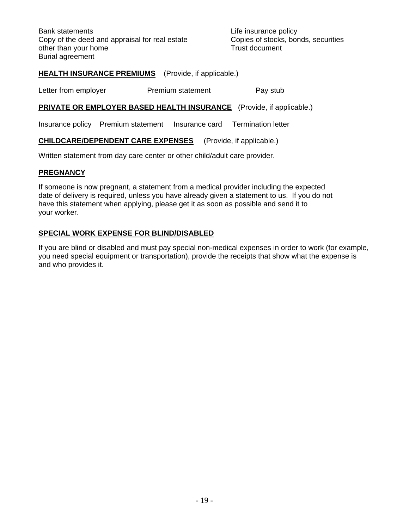Bank statements **Bank** statements **Life insurance policy** Copy of the deed and appraisal for real estate Copies of stocks, bonds, securities other than your home Trust document Burial agreement

#### **HEALTH INSURANCE PREMIUMS** (Provide, if applicable.)

Letter from employer **Premium statement** Pay stub

#### **PRIVATE OR EMPLOYER BASED HEALTH INSURANCE** (Provide, if applicable.)

Insurance policy Premium statement Insurance card Termination letter

**CHILDCARE/DEPENDENT CARE EXPENSES** (Provide, if applicable.)

Written statement from day care center or other child/adult care provider.

#### **PREGNANCY**

If someone is now pregnant, a statement from a medical provider including the expected date of delivery is required, unless you have already given a statement to us. If you do not have this statement when applying, please get it as soon as possible and send it to your worker.

#### **SPECIAL WORK EXPENSE FOR BLIND/DISABLED**

If you are blind or disabled and must pay special non-medical expenses in order to work (for example, you need special equipment or transportation), provide the receipts that show what the expense is and who provides it.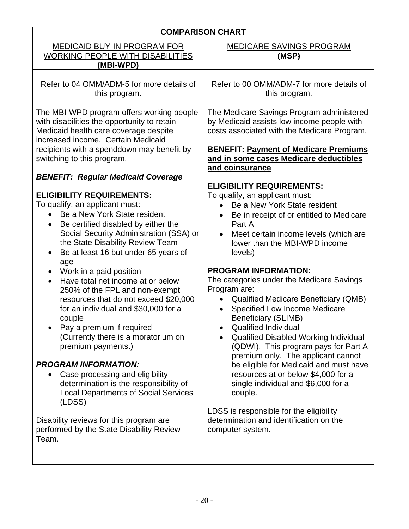| <b>COMPARISON CHART</b>                                                                                                                                                                                                                                                                                                                                                                                                                                                                                                                                                                               |                                                                                                                                                                                                                                                                                                                                                                                                                                                                                                                   |  |
|-------------------------------------------------------------------------------------------------------------------------------------------------------------------------------------------------------------------------------------------------------------------------------------------------------------------------------------------------------------------------------------------------------------------------------------------------------------------------------------------------------------------------------------------------------------------------------------------------------|-------------------------------------------------------------------------------------------------------------------------------------------------------------------------------------------------------------------------------------------------------------------------------------------------------------------------------------------------------------------------------------------------------------------------------------------------------------------------------------------------------------------|--|
| <b>MEDICAID BUY-IN PROGRAM FOR</b><br><b>WORKING PEOPLE WITH DISABILITIES</b><br>(MBI-WPD)                                                                                                                                                                                                                                                                                                                                                                                                                                                                                                            | <b>MEDICARE SAVINGS PROGRAM</b><br>(MSP)                                                                                                                                                                                                                                                                                                                                                                                                                                                                          |  |
| Refer to 04 OMM/ADM-5 for more details of<br>this program.                                                                                                                                                                                                                                                                                                                                                                                                                                                                                                                                            | Refer to 00 OMM/ADM-7 for more details of<br>this program.                                                                                                                                                                                                                                                                                                                                                                                                                                                        |  |
| The MBI-WPD program offers working people<br>with disabilities the opportunity to retain<br>Medicaid health care coverage despite<br>increased income. Certain Medicaid<br>recipients with a spenddown may benefit by<br>switching to this program.<br><b>BENEFIT: Regular Medicaid Coverage</b><br><b>ELIGIBILITY REQUIREMENTS:</b><br>To qualify, an applicant must:<br>Be a New York State resident<br>Be certified disabled by either the<br>$\bullet$<br>Social Security Administration (SSA) or<br>the State Disability Review Team<br>Be at least 16 but under 65 years of<br>$\bullet$<br>age | The Medicare Savings Program administered<br>by Medicaid assists low income people with<br>costs associated with the Medicare Program.<br><b>BENEFIT: Payment of Medicare Premiums</b><br>and in some cases Medicare deductibles<br>and coinsurance<br><b>ELIGIBILITY REQUIREMENTS:</b><br>To qualify, an applicant must:<br>Be a New York State resident<br>$\bullet$<br>Be in receipt of or entitled to Medicare<br>Part A<br>Meet certain income levels (which are<br>lower than the MBI-WPD income<br>levels) |  |
| Work in a paid position<br>$\bullet$<br>Have total net income at or below<br>$\bullet$<br>250% of the FPL and non-exempt<br>resources that do not exceed \$20,000<br>for an individual and \$30,000 for a<br>couple<br>Pay a premium if required<br>(Currently there is a moratorium on<br>premium payments.)<br><b>PROGRAM INFORMATION:</b>                                                                                                                                                                                                                                                          | <b>PROGRAM INFORMATION:</b><br>The categories under the Medicare Savings<br>Program are:<br><b>Qualified Medicare Beneficiary (QMB)</b><br>Specified Low Income Medicare<br><b>Beneficiary (SLIMB)</b><br><b>Qualified Individual</b><br>Qualified Disabled Working Individual<br>(QDWI). This program pays for Part A<br>premium only. The applicant cannot<br>be eligible for Medicaid and must have                                                                                                            |  |
| Case processing and eligibility<br>determination is the responsibility of<br><b>Local Departments of Social Services</b><br>(LDSS)<br>Disability reviews for this program are<br>performed by the State Disability Review<br>Team.                                                                                                                                                                                                                                                                                                                                                                    | resources at or below \$4,000 for a<br>single individual and \$6,000 for a<br>couple.<br>LDSS is responsible for the eligibility<br>determination and identification on the<br>computer system.                                                                                                                                                                                                                                                                                                                   |  |